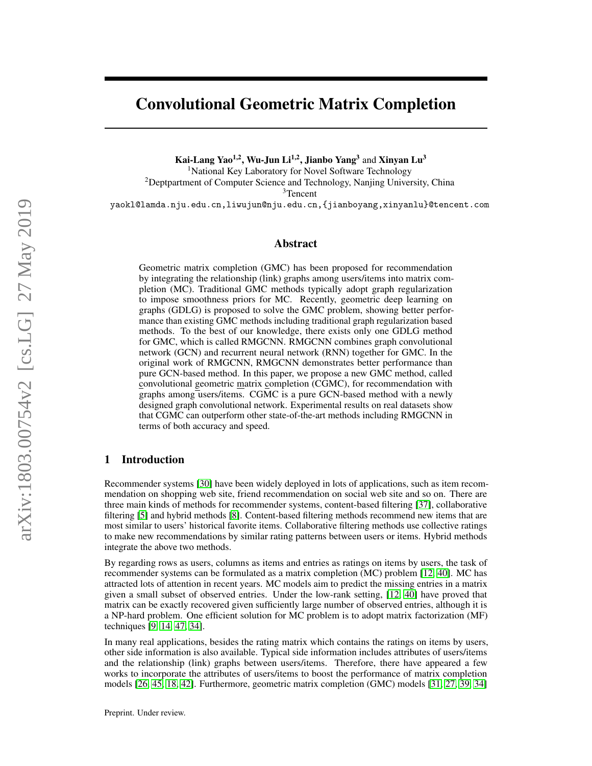# Convolutional Geometric Matrix Completion

Kai-Lang Yao<sup>1,2</sup>, Wu-Jun Li<sup>1,2</sup>, Jianbo Yang<sup>3</sup> and Xinyan Lu<sup>3</sup>

<sup>1</sup>National Key Laboratory for Novel Software Technology

<sup>2</sup>Deptpartment of Computer Science and Technology, Nanjing University, China

<sup>3</sup>Tencent

yaokl@lamda.nju.edu.cn,liwujun@nju.edu.cn,{jianboyang,xinyanlu}@tencent.com

### Abstract

Geometric matrix completion (GMC) has been proposed for recommendation by integrating the relationship (link) graphs among users/items into matrix completion (MC). Traditional GMC methods typically adopt graph regularization to impose smoothness priors for MC. Recently, geometric deep learning on graphs (GDLG) is proposed to solve the GMC problem, showing better performance than existing GMC methods including traditional graph regularization based methods. To the best of our knowledge, there exists only one GDLG method for GMC, which is called RMGCNN. RMGCNN combines graph convolutional network (GCN) and recurrent neural network (RNN) together for GMC. In the original work of RMGCNN, RMGCNN demonstrates better performance than pure GCN-based method. In this paper, we propose a new GMC method, called convolutional geometric matrix completion (CGMC), for recommendation with graphs among users/items. CGMC is a pure GCN-based method with a newly designed graph convolutional network. Experimental results on real datasets show that CGMC can outperform other state-of-the-art methods including RMGCNN in terms of both accuracy and speed.

## 1 Introduction

Recommender systems [\[30\]](#page-10-0) have been widely deployed in lots of applications, such as item recommendation on shopping web site, friend recommendation on social web site and so on. There are three main kinds of methods for recommender systems, content-based filtering [\[37\]](#page-10-1), collaborative filtering [\[5\]](#page-9-0) and hybrid methods [\[8\]](#page-9-1). Content-based filtering methods recommend new items that are most similar to users' historical favorite items. Collaborative filtering methods use collective ratings to make new recommendations by similar rating patterns between users or items. Hybrid methods integrate the above two methods.

By regarding rows as users, columns as items and entries as ratings on items by users, the task of recommender systems can be formulated as a matrix completion (MC) problem [\[12,](#page-9-2) [40\]](#page-10-2). MC has attracted lots of attention in recent years. MC models aim to predict the missing entries in a matrix given a small subset of observed entries. Under the low-rank setting, [\[12,](#page-9-2) [40\]](#page-10-2) have proved that matrix can be exactly recovered given sufficiently large number of observed entries, although it is a NP-hard problem. One efficient solution for MC problem is to adopt matrix factorization (MF) techniques [\[9,](#page-9-3) [14,](#page-9-4) [47,](#page-10-3) [34\]](#page-10-4).

In many real applications, besides the rating matrix which contains the ratings on items by users, other side information is also available. Typical side information includes attributes of users/items and the relationship (link) graphs between users/items. Therefore, there have appeared a few works to incorporate the attributes of users/items to boost the performance of matrix completion models [\[26,](#page-10-5) [45,](#page-10-6) [18,](#page-9-5) [42\]](#page-10-7). Furthermore, geometric matrix completion (GMC) models [\[31,](#page-10-8) [27,](#page-10-9) [39,](#page-10-10) [34\]](#page-10-4)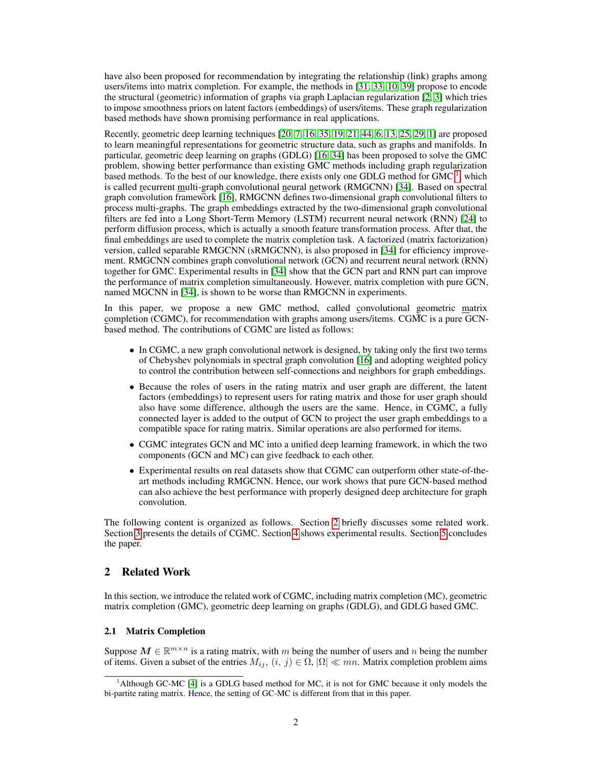have also been proposed for recommendation by integrating the relationship (link) graphs among users/items into matrix completion. For example, the methods in [\[31,](#page-10-8) [33,](#page-10-11) [10,](#page-9-6) [39\]](#page-10-10) propose to encode the structural (geometric) information of graphs via graph Laplacian regularization [\[2,](#page-9-7) [3\]](#page-9-8) which tries to impose smoothness priors on latent factors (embeddings) of users/items. These graph regularization based methods have shown promising performance in real applications.

Recently, geometric deep learning techniques [\[20,](#page-9-9) [7,](#page-9-10) [16,](#page-9-11) [35,](#page-10-12) [19,](#page-9-12) [21,](#page-9-13) [44,](#page-10-13) [6,](#page-9-14) [13,](#page-9-15) [25,](#page-10-14) [29,](#page-10-15) [1\]](#page-9-16) are proposed to learn meaningful representations for geometric structure data, such as graphs and manifolds. In particular, geometric deep learning on graphs (GDLG) [\[16,](#page-9-11) [34\]](#page-10-4) has been proposed to solve the GMC problem, showing better performance than existing GMC methods including graph regularization based methods. To the best of our knowledge, there exists only one GDLG method for GMC<sup>[1](#page-1-0)</sup>, which is called recurrent multi-graph convolutional neural network (RMGCNN) [\[34\]](#page-10-4). Based on spectral graph convolution framework [\[16\]](#page-9-11), RMGCNN defines two-dimensional graph convolutional filters to process multi-graphs. The graph embeddings extracted by the two-dimensional graph convolutional filters are fed into a Long Short-Term Memory (LSTM) recurrent neural network (RNN) [\[24\]](#page-10-16) to perform diffusion process, which is actually a smooth feature transformation process. After that, the final embeddings are used to complete the matrix completion task. A factorized (matrix factorization) version, called separable RMGCNN (sRMGCNN), is also proposed in [\[34\]](#page-10-4) for efficiency improvement. RMGCNN combines graph convolutional network (GCN) and recurrent neural network (RNN) together for GMC. Experimental results in [\[34\]](#page-10-4) show that the GCN part and RNN part can improve the performance of matrix completion simultaneously. However, matrix completion with pure GCN, named MGCNN in [\[34\]](#page-10-4), is shown to be worse than RMGCNN in experiments.

In this paper, we propose a new GMC method, called convolutional geometric matrix completion (CGMC), for recommendation with graphs among users/items. CGMC is a pure GCNbased method. The contributions of CGMC are listed as follows:

- In CGMC, a new graph convolutional network is designed, by taking only the first two terms of Chebyshev polynomials in spectral graph convolution [\[16\]](#page-9-11) and adopting weighted policy to control the contribution between self-connections and neighbors for graph embeddings.
- Because the roles of users in the rating matrix and user graph are different, the latent factors (embeddings) to represent users for rating matrix and those for user graph should also have some difference, although the users are the same. Hence, in CGMC, a fully connected layer is added to the output of GCN to project the user graph embeddings to a compatible space for rating matrix. Similar operations are also performed for items.
- CGMC integrates GCN and MC into a unified deep learning framework, in which the two components (GCN and MC) can give feedback to each other.
- Experimental results on real datasets show that CGMC can outperform other state-of-theart methods including RMGCNN. Hence, our work shows that pure GCN-based method can also achieve the best performance with properly designed deep architecture for graph convolution.

The following content is organized as follows. Section [2](#page-1-1) briefly discusses some related work. Section [3](#page-3-0) presents the details of CGMC. Section [4](#page-6-0) shows experimental results. Section [5](#page-8-0) concludes the paper.

## <span id="page-1-1"></span>2 Related Work

In this section, we introduce the related work of CGMC, including matrix completion (MC), geometric matrix completion (GMC), geometric deep learning on graphs (GDLG), and GDLG based GMC.

#### 2.1 Matrix Completion

Suppose  $M \in \mathbb{R}^{m \times n}$  is a rating matrix, with m being the number of users and n being the number of items. Given a subset of the entries  $M_{ij}$ ,  $(i, j) \in \Omega$ ,  $|\Omega| \ll mn$ . Matrix completion problem aims

<span id="page-1-0"></span><sup>&</sup>lt;sup>1</sup>Although GC-MC [\[4\]](#page-9-17) is a GDLG based method for MC, it is not for GMC because it only models the bi-partite rating matrix. Hence, the setting of GC-MC is different from that in this paper.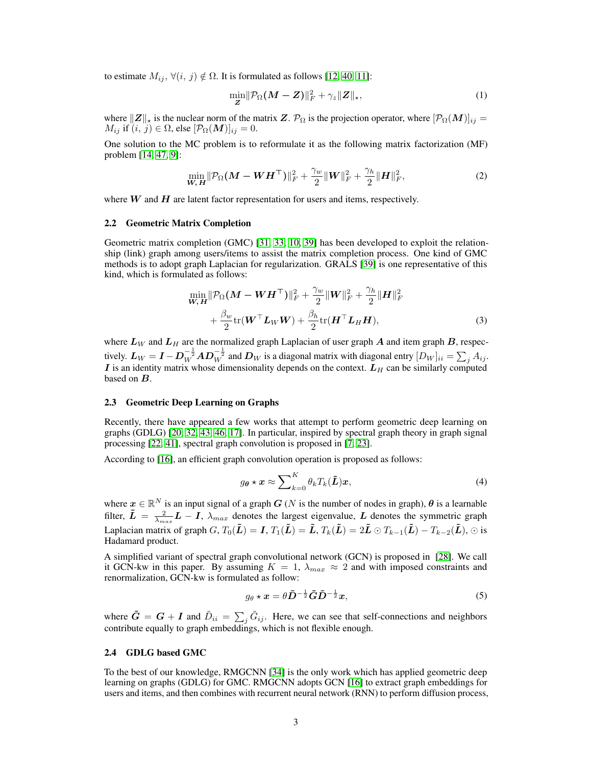to estimate  $M_{ij}$ ,  $\forall (i, j) \notin \Omega$ . It is formulated as follows [\[12,](#page-9-2) [40,](#page-10-2) [11\]](#page-9-18):

<span id="page-2-2"></span><span id="page-2-1"></span>
$$
\min_{\mathbf{Z}} \|\mathcal{P}_{\Omega}(\mathbf{M}-\mathbf{Z})\|_{F}^{2} + \gamma_{z} \|\mathbf{Z}\|_{\star},\tag{1}
$$

where  $||Z||_{\star}$  is the nuclear norm of the matrix Z.  $\mathcal{P}_{\Omega}$  is the projection operator, where  $[\mathcal{P}_{\Omega}(M)]_{ij} =$  $M_{ij}$  if  $(i, j) \in \Omega$ , else  $[\mathcal{P}_{\Omega}(\boldsymbol{M})]_{ij} = 0$ .

One solution to the MC problem is to reformulate it as the following matrix factorization (MF) problem [\[14,](#page-9-4) [47,](#page-10-3) [9\]](#page-9-3):

$$
\min_{\mathbf{W}, \mathbf{H}} \|\mathcal{P}_{\Omega}(\mathbf{M} - \mathbf{W} \mathbf{H}^{\top})\|_{F}^{2} + \frac{\gamma_{w}}{2} \|\mathbf{W}\|_{F}^{2} + \frac{\gamma_{h}}{2} \|\mathbf{H}\|_{F}^{2},
$$
\n(2)

where  $W$  and  $H$  are latent factor representation for users and items, respectively.

#### 2.2 Geometric Matrix Completion

Geometric matrix completion (GMC) [\[31,](#page-10-8) [33,](#page-10-11) [10,](#page-9-6) [39\]](#page-10-10) has been developed to exploit the relationship (link) graph among users/items to assist the matrix completion process. One kind of GMC methods is to adopt graph Laplacian for regularization. GRALS [\[39\]](#page-10-10) is one representative of this kind, which is formulated as follows:

$$
\min_{\mathbf{W}, \mathbf{H}} \|\mathcal{P}_{\Omega}(\mathbf{M} - \mathbf{W}\mathbf{H}^{\top})\|_{F}^{2} + \frac{\gamma_{w}}{2} \|\mathbf{W}\|_{F}^{2} + \frac{\gamma_{h}}{2} \|\mathbf{H}\|_{F}^{2} + \frac{\beta_{w}}{2} \text{tr}(\mathbf{W}^{\top} \mathbf{L}_{W} \mathbf{W}) + \frac{\beta_{h}}{2} \text{tr}(\mathbf{H}^{\top} \mathbf{L}_{H} \mathbf{H}), \tag{3}
$$

where  $L_W$  and  $L_H$  are the normalized graph Laplacian of user graph A and item graph B, respectively.  $\bm{L}_W=\bm{I}-\bm{D}_W^{-\frac{1}{2}}\bm{A}\bm{D}_W^{-\frac{1}{2}}$  and  $\bm{D}_W$  is a diagonal matrix with diagonal entry  $[D_W]_{ii}=\sum_j A_{ij}.$ I is an identity matrix whose dimensionality depends on the context.  $L_H$  can be similarly computed based on **B**.

#### 2.3 Geometric Deep Learning on Graphs

Recently, there have appeared a few works that attempt to perform geometric deep learning on graphs (GDLG) [\[20,](#page-9-9) [32,](#page-10-17) [43,](#page-10-18) [46,](#page-10-19) [17\]](#page-9-19). In particular, inspired by spectral graph theory in graph signal processing [\[22,](#page-9-20) [41\]](#page-10-20), spectral graph convolution is proposed in [\[7,](#page-9-10) [23\]](#page-10-21).

According to [\[16\]](#page-9-11), an efficient graph convolution operation is proposed as follows:

<span id="page-2-0"></span>
$$
g_{\theta} \star \boldsymbol{x} \approx \sum_{k=0}^{K} \theta_k T_k(\tilde{\boldsymbol{L}}) \boldsymbol{x},
$$
\n(4)

where  $x \in \mathbb{R}^N$  is an input signal of a graph  $G$  (N is the number of nodes in graph),  $\theta$  is a learnable filter,  $\tilde{L} = \frac{2}{\lambda_{max}} L - I$ ,  $\lambda_{max}$  denotes the largest eigenvalue, L denotes the symmetric graph Laplacian matrix of graph  $G,T_0(\tilde{\bm{L}})=\bm{I},$   $T_1(\tilde{\bm{L}})=\tilde{\bm{L}},$   $T_k(\tilde{\bm{L}})=2\tilde{\bm{L}}\odot T_{k-1}(\tilde{\bm{L}})-T_{k-2}(\tilde{\bm{L}}),$   $\odot$  is Hadamard product.

A simplified variant of spectral graph convolutional network (GCN) is proposed in [\[28\]](#page-10-22). We call it GCN-kw in this paper. By assuming  $K = 1$ ,  $\lambda_{max} \approx 2$  and with imposed constraints and renormalization, GCN-kw is formulated as follow:

$$
g_{\theta} \star \mathbf{x} = \theta \tilde{\mathbf{D}}^{-\frac{1}{2}} \tilde{\mathbf{G}} \tilde{\mathbf{D}}^{-\frac{1}{2}} \mathbf{x},\tag{5}
$$

where  $\tilde{G} = G + I$  and  $\tilde{D}_{ii} = \sum_j \tilde{G}_{ij}$ . Here, we can see that self-connections and neighbors contribute equally to graph embeddings, which is not flexible enough.

#### 2.4 GDLG based GMC

To the best of our knowledge, RMGCNN [\[34\]](#page-10-4) is the only work which has applied geometric deep learning on graphs (GDLG) for GMC. RMGCNN adopts GCN [\[16\]](#page-9-11) to extract graph embeddings for users and items, and then combines with recurrent neural network (RNN) to perform diffusion process,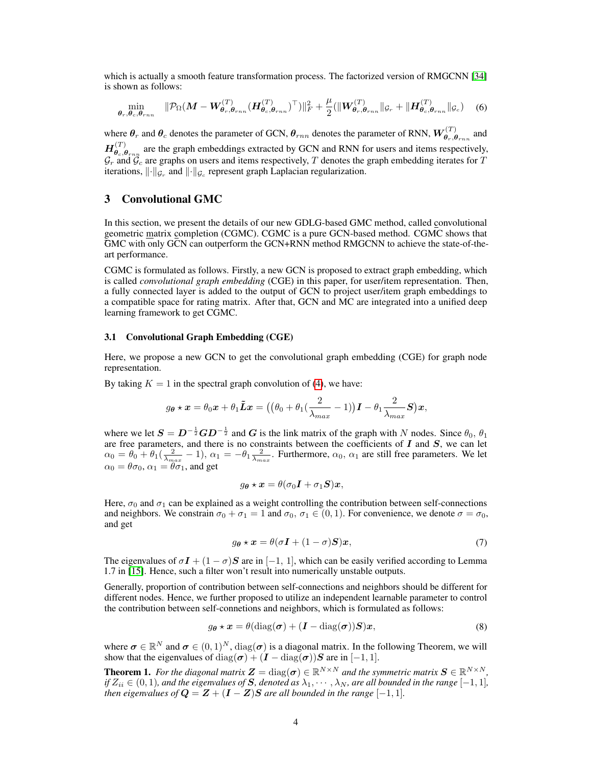which is actually a smooth feature transformation process. The factorized version of RMGCNN [\[34\]](#page-10-4) is shown as follows:

$$
\min_{\boldsymbol{\theta}_r, \boldsymbol{\theta}_c, \boldsymbol{\theta}_{rnn}} \quad \|\mathcal{P}_{\Omega}(\boldsymbol{M} - \boldsymbol{W}_{\boldsymbol{\theta}_r, \boldsymbol{\theta}_{rnn}}^{(T)} (\boldsymbol{H}_{\boldsymbol{\theta}_c, \boldsymbol{\theta}_{rnn}}^{(T)})^{\top})\|_F^2 + \frac{\mu}{2} (\|\boldsymbol{W}_{\boldsymbol{\theta}_r, \boldsymbol{\theta}_{rnn}}^{(T)}\|_{\mathcal{G}_r} + \|\boldsymbol{H}_{\boldsymbol{\theta}_c, \boldsymbol{\theta}_{rnn}}^{(T)}\|_{\mathcal{G}_c}) \quad (6)
$$

where  $\theta_r$  and  $\theta_c$  denotes the parameter of GCN,  $\theta_{rnn}$  denotes the parameter of RNN,  $W^{(T)}_{\theta_r,\theta_{rnn}}$  and  $H^{(T)}_{\bm{\theta}}$  $\theta_{e,\theta_{rnn}}^{(1)}$  are the graph embeddings extracted by GCN and RNN for users and items respectively,  $\mathcal{G}_r$  and  $\mathcal{G}_c$  are graphs on users and items respectively,  $T$  denotes the graph embedding iterates for  $T$ iterations,  $\lVert \cdot \rVert_{\mathcal{G}_c}$  and  $\lVert \cdot \rVert_{\mathcal{G}_c}$  represent graph Laplacian regularization.

## <span id="page-3-0"></span>3 Convolutional GMC

In this section, we present the details of our new GDLG-based GMC method, called convolutional geometric matrix completion (CGMC). CGMC is a pure GCN-based method. CGMC shows that GMC with only GCN can outperform the GCN+RNN method RMGCNN to achieve the state-of-theart performance.

CGMC is formulated as follows. Firstly, a new GCN is proposed to extract graph embedding, which is called *convolutional graph embedding* (CGE) in this paper, for user/item representation. Then, a fully connected layer is added to the output of GCN to project user/item graph embeddings to a compatible space for rating matrix. After that, GCN and MC are integrated into a unified deep learning framework to get CGMC.

#### 3.1 Convolutional Graph Embedding (CGE)

Here, we propose a new GCN to get the convolutional graph embedding (CGE) for graph node representation.

By taking  $K = 1$  in the spectral graph convolution of [\(4\)](#page-2-0), we have:

$$
g_{\theta} \star \boldsymbol{x} = \theta_0 \boldsymbol{x} + \theta_1 \tilde{\boldsymbol{L}} \boldsymbol{x} = ((\theta_0 + \theta_1(\frac{2}{\lambda_{max}} - 1))\boldsymbol{I} - \theta_1 \frac{2}{\lambda_{max}} \boldsymbol{S})\boldsymbol{x},
$$

where we let  $S = D^{-\frac{1}{2}}GD^{-\frac{1}{2}}$  and G is the link matrix of the graph with N nodes. Since  $\theta_0$ ,  $\theta_1$ are free parameters, and there is no constraints between the coefficients of  $I$  and  $S$ , we can let  $\alpha_0 = \theta_0 + \theta_1(\frac{2}{\lambda_{max}} - 1), \alpha_1 = -\theta_1 \frac{2}{\lambda_{max}}.$  Furthermore,  $\alpha_0$ ,  $\alpha_1$  are still free parameters. We let  $\alpha_0 = \theta \sigma_0$ ,  $\alpha_1 = \theta \sigma_1$ , and get

<span id="page-3-2"></span>
$$
g_{\theta} \star \boldsymbol{x} = \theta(\sigma_0 \boldsymbol{I} + \sigma_1 \boldsymbol{S}) \boldsymbol{x},
$$

Here,  $\sigma_0$  and  $\sigma_1$  can be explained as a weight controlling the contribution between self-connections and neighbors. We constrain  $\sigma_0 + \sigma_1 = 1$  and  $\sigma_0$ ,  $\sigma_1 \in (0, 1)$ . For convenience, we denote  $\sigma = \sigma_0$ , and get

<span id="page-3-1"></span>
$$
g_{\theta} \star \mathbf{x} = \theta(\sigma \mathbf{I} + (1 - \sigma) \mathbf{S}) \mathbf{x},\tag{7}
$$

The eigenvalues of  $\sigma I + (1 - \sigma)S$  are in [-1, 1], which can be easily verified according to Lemma 1.7 in [\[15\]](#page-9-21). Hence, such a filter won't result into numerically unstable outputs.

Generally, proportion of contribution between self-connections and neighbors should be different for different nodes. Hence, we further proposed to utilize an independent learnable parameter to control the contribution between self-connetions and neighbors, which is formulated as follows:

$$
g_{\theta} \star \boldsymbol{x} = \theta(\text{diag}(\boldsymbol{\sigma}) + (\boldsymbol{I} - \text{diag}(\boldsymbol{\sigma}))\boldsymbol{S})\boldsymbol{x},\tag{8}
$$

where  $\sigma \in \mathbb{R}^N$  and  $\sigma \in (0,1)^N$ ,  $diag(\sigma)$  is a diagonal matrix. In the following Theorem, we will show that the eigenvalues of diag( $\sigma$ ) +  $(I - \text{diag}(\sigma))S$  are in [-1, 1].

<span id="page-3-3"></span>**Theorem 1.** For the diagonal matrix  $\mathbf{Z} = \text{diag}(\boldsymbol{\sigma}) \in \mathbb{R}^{N \times N}$  and the symmetric matrix  $\mathbf{S} \in \mathbb{R}^{N \times N}$ , *if*  $Z_{ii} \in (0,1)$ , and the eigenvalues of S, denoted as  $\lambda_1, \dots, \lambda_N$ , are all bounded in the range  $[-1,1]$ , *then eigenvalues of*  $Q = Z + (I - Z)S$  *are all bounded in the range* [-1, 1]*.*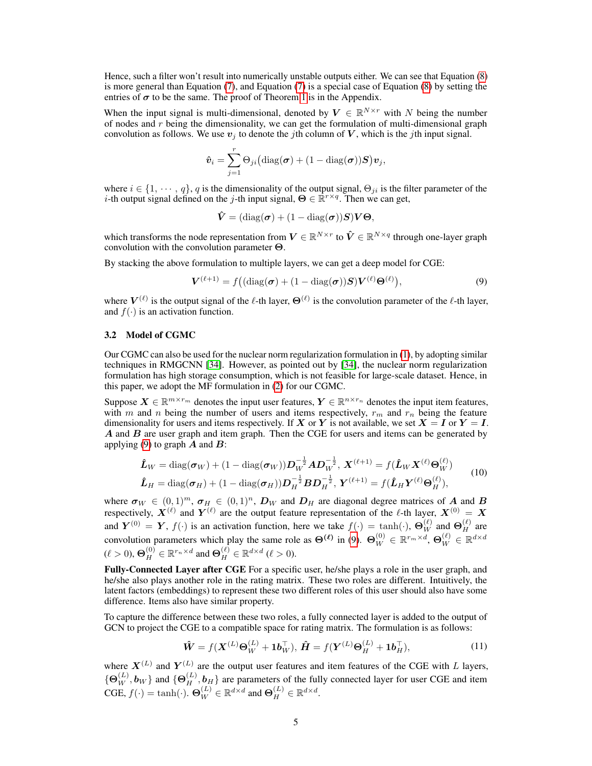Hence, such a filter won't result into numerically unstable outputs either. We can see that Equation [\(8\)](#page-3-1) is more general than Equation [\(7\)](#page-3-2), and Equation [\(7\)](#page-3-2) is a special case of Equation [\(8\)](#page-3-1) by setting the entries of  $\sigma$  to be the same. The proof of Theorem [1](#page-3-3) is in the Appendix.

When the input signal is multi-dimensional, denoted by  $V \in \mathbb{R}^{N \times r}$  with N being the number of nodes and  $r$  being the dimensionality, we can get the formulation of multi-dimensional graph convolution as follows. We use  $v_i$  to denote the jth column of V, which is the jth input signal.

$$
\hat{\boldsymbol{v}}_i = \sum_{j=1}^r \Theta_{ji} \big( \mathrm{diag}(\boldsymbol{\sigma}) + (1 - \mathrm{diag}(\boldsymbol{\sigma})) \boldsymbol{S} \big) \boldsymbol{v}_j,
$$

where  $i \in \{1, \dots, q\}$ , q is the dimensionality of the output signal,  $\Theta_{ji}$  is the filter parameter of the *i*-th output signal defined on the *j*-th input signal,  $\Theta \in \mathbb{R}^{r \times q}$ . Then we can get,

<span id="page-4-0"></span>
$$
\hat{\bm{V}} = (\text{diag}(\bm{\sigma}) + (1 - \text{diag}(\bm{\sigma}))\bm{S})\bm{V}\bm{\Theta},
$$

which transforms the node representation from  $V\in\mathbb{R}^{N\times r}$  to  $\hat{V}\in\mathbb{R}^{N\times q}$  through one-layer graph convolution with the convolution parameter Θ.

By stacking the above formulation to multiple layers, we can get a deep model for CGE:

$$
\boldsymbol{V}^{(\ell+1)} = f\big((\mathrm{diag}(\boldsymbol{\sigma}) + (1 - \mathrm{diag}(\boldsymbol{\sigma}))\boldsymbol{S})\boldsymbol{V}^{(\ell)}\boldsymbol{\Theta}^{(\ell)}\big),\tag{9}
$$

where  $V^{(\ell)}$  is the output signal of the  $\ell$ -th layer,  $\Theta^{(\ell)}$  is the convolution parameter of the  $\ell$ -th layer, and  $f(\cdot)$  is an activation function.

#### 3.2 Model of CGMC

Our CGMC can also be used for the nuclear norm regularization formulation in [\(1\)](#page-2-1), by adopting similar techniques in RMGCNN [\[34\]](#page-10-4). However, as pointed out by [\[34\]](#page-10-4), the nuclear norm regularization formulation has high storage consumption, which is not feasible for large-scale dataset. Hence, in this paper, we adopt the MF formulation in [\(2\)](#page-2-2) for our CGMC.

Suppose  $X \in \mathbb{R}^{m \times r_m}$  denotes the input user features,  $Y \in \mathbb{R}^{n \times r_n}$  denotes the input item features, with m and n being the number of users and items respectively,  $r_m$  and  $r_n$  being the feature dimensionality for users and items respectively. If X or Y is not available, we set  $X = I$  or  $Y = I$ .  $\vec{A}$  and  $\vec{B}$  are user graph and item graph. Then the CGE for users and items can be generated by applying [\(9\)](#page-4-0) to graph  $\bm{A}$  and  $\bm{B}$ :

<span id="page-4-1"></span>
$$
\hat{\boldsymbol{L}}_{W} = \text{diag}(\boldsymbol{\sigma}_{W}) + (1 - \text{diag}(\boldsymbol{\sigma}_{W})) \boldsymbol{D}_{W}^{-\frac{1}{2}} \boldsymbol{A} \boldsymbol{D}_{W}^{-\frac{1}{2}}, \boldsymbol{X}^{(\ell+1)} = f(\hat{\boldsymbol{L}}_{W} \boldsymbol{X}^{(\ell)} \boldsymbol{\Theta}_{W}^{(\ell)}) \n\hat{\boldsymbol{L}}_{H} = \text{diag}(\boldsymbol{\sigma}_{H}) + (1 - \text{diag}(\boldsymbol{\sigma}_{H})) \boldsymbol{D}_{H}^{-\frac{1}{2}} \boldsymbol{B} \boldsymbol{D}_{H}^{-\frac{1}{2}}, \boldsymbol{Y}^{(\ell+1)} = f(\hat{\boldsymbol{L}}_{H} \boldsymbol{Y}^{(\ell)} \boldsymbol{\Theta}_{H}^{(\ell)}),
$$
\n(10)

where  $\sigma_W \in (0,1)^m$ ,  $\sigma_H \in (0,1)^n$ ,  $D_W$  and  $D_H$  are diagonal degree matrices of A and B respectively,  $X^{(\ell)}$  and  $Y^{(\ell)}$  are the output feature representation of the  $\ell$ -th layer,  $X^{(0)} = X$ and  $Y^{(0)} = Y$ ,  $f(\cdot)$  is an activation function, here we take  $f(\cdot) = \tanh(\cdot)$ ,  $\Theta_W^{(\ell)}$  and  $\Theta_H^{(\ell)}$  are convolution parameters which play the same role as  $\Theta^{(\ell)}$  in [\(9\)](#page-4-0).  $\Theta_W^{(0)} \in \mathbb{R}^{r_m \times d}$ ,  $\Theta_W^{(\ell)} \in \mathbb{R}^{d \times d}$  $(\ell > 0), \mathbf{\Theta}_H^{(0)} \in \mathbb{R}^{r_n \times d}$  and  $\mathbf{\Theta}_H^{(\ell)} \in \mathbb{R}^{d \times d}$   $(\ell > 0)$ .

Fully-Connected Layer after CGE For a specific user, he/she plays a role in the user graph, and he/she also plays another role in the rating matrix. These two roles are different. Intuitively, the latent factors (embeddings) to represent these two different roles of this user should also have some difference. Items also have similar property.

To capture the difference between these two roles, a fully connected layer is added to the output of GCN to project the CGE to a compatible space for rating matrix. The formulation is as follows:

<span id="page-4-2"></span>
$$
\hat{\mathbf{W}} = f(\mathbf{X}^{(L)}\boldsymbol{\Theta}_{W}^{(L)} + \mathbf{1}\boldsymbol{b}_{W}^{\top}), \,\hat{\mathbf{H}} = f(\mathbf{Y}^{(L)}\boldsymbol{\Theta}_{H}^{(L)} + \mathbf{1}\boldsymbol{b}_{H}^{\top}),\tag{11}
$$

where  $X^{(L)}$  and  $Y^{(L)}$  are the output user features and item features of the CGE with L layers,  $\{\Theta_W^{(L)}, \bm{b}_W\}$  and  $\{\Theta_H^{(L)}, \bm{b}_H\}$  are parameters of the fully connected layer for user CGE and item CGE,  $f(\cdot) = \tanh(\cdot)$ .  $\Theta_W^{(L)} \in \mathbb{R}^{d \times d}$  and  $\Theta_H^{(L)} \in \mathbb{R}^{d \times d}$ .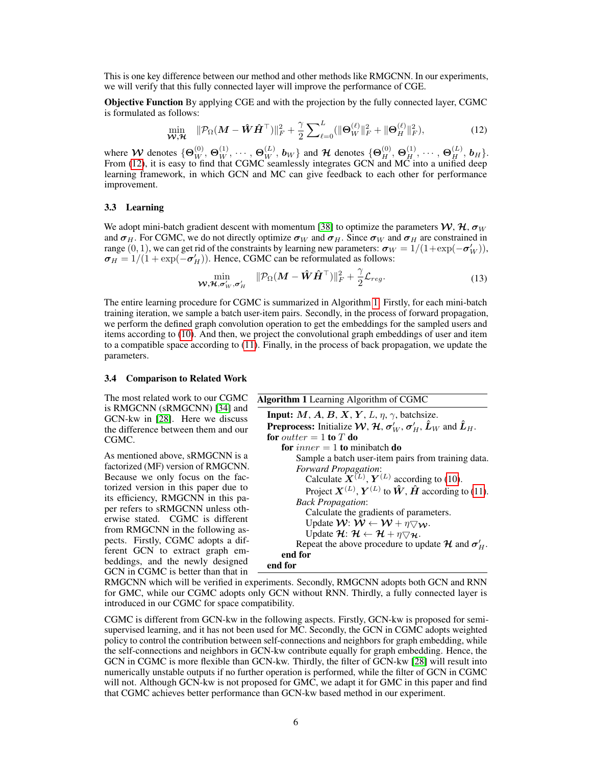This is one key difference between our method and other methods like RMGCNN. In our experiments, we will verify that this fully connected layer will improve the performance of CGE.

Objective Function By applying CGE and with the projection by the fully connected layer, CGMC is formulated as follows:

<span id="page-5-0"></span>
$$
\min_{\mathbf{W}, \mathcal{H}} \quad \|\mathcal{P}_{\Omega}(\mathbf{M} - \hat{\mathbf{W}}\hat{\mathbf{H}}^{\top})\|_{F}^{2} + \frac{\gamma}{2} \sum_{\ell=0}^{L} (\|\mathbf{\Theta}_{W}^{(\ell)}\|_{F}^{2} + \|\mathbf{\Theta}_{H}^{(\ell)}\|_{F}^{2}), \tag{12}
$$

where  $\mathcal W$  denotes  $\{\Theta^{(0)}_W, \Theta^{(1)}_W, \cdots, \Theta^{(L)}_W, \bm b_W\}$  and  $\mathcal H$  denotes  $\{\Theta^{(0)}_H, \Theta^{(1)}_H, \cdots, \Theta^{(L)}_H, \bm b_H\}.$ From [\(12\)](#page-5-0), it is easy to find that CGMC seamlessly integrates GCN and MC into a unified deep learning framework, in which GCN and MC can give feedback to each other for performance improvement.

#### 3.3 Learning

We adopt mini-batch gradient descent with momentum [\[38\]](#page-10-23) to optimize the parameters  $W, H, \sigma_W$ and  $\sigma_H$ . For CGMC, we do not directly optimize  $\sigma_W$  and  $\sigma_H$ . Since  $\sigma_W$  and  $\sigma_H$  are constrained in range  $(0, 1)$ , we can get rid of the constraints by learning new parameters:  $\sigma_W = 1/(1 + \exp(-\sigma_W'))$ ,  $\sigma_H = 1/(1 + \exp(-\sigma_H'))$ . Hence, CGMC can be reformulated as follows:

$$
\min_{\mathbf{W}, \mathbf{\mathcal{H}}, \sigma'_W, \sigma'_H} \quad \|\mathcal{P}_{\Omega}(\mathbf{M} - \hat{\mathbf{W}} \hat{\mathbf{H}}^{\top})\|_F^2 + \frac{\gamma}{2} \mathcal{L}_{reg}.
$$
\n(13)

The entire learning procedure for CGMC is summarized in Algorithm [1.](#page-5-1) Firstly, for each mini-batch training iteration, we sample a batch user-item pairs. Secondly, in the process of forward propagation, we perform the defined graph convolution operation to get the embeddings for the sampled users and items according to [\(10\)](#page-4-1). And then, we project the convolutional graph embeddings of user and item to a compatible space according to [\(11\)](#page-4-2). Finally, in the process of back propagation, we update the parameters.

#### 3.4 Comparison to Related Work

The most related work to our CGMC is RMGCNN (sRMGCNN) [\[34\]](#page-10-4) and GCN-kw in [\[28\]](#page-10-22). Here we discuss the difference between them and our CGMC.

As mentioned above, sRMGCNN is a factorized (MF) version of RMGCNN. Because we only focus on the factorized version in this paper due to its efficiency, RMGCNN in this paper refers to sRMGCNN unless otherwise stated. CGMC is different from RMGCNN in the following aspects. Firstly, CGMC adopts a different GCN to extract graph embeddings, and the newly designed GCN in CGMC is better than that in

<span id="page-5-1"></span>

| Algorithm 1 Learning Algorithm of CGMC                                                                        |
|---------------------------------------------------------------------------------------------------------------|
| <b>Input:</b> M, A, B, X, Y, L, $\eta$ , $\gamma$ , batchsize.                                                |
| <b>Preprocess:</b> Initialize $W$ , $H$ , $\sigma'_{W}$ , $\sigma'_{H}$ , $\hat{L}_{W}$ and $\hat{L}_{H}$ .   |
| for <i>outter</i> = 1 to T do                                                                                 |
| for <i>inner</i> = 1 to minibatch do                                                                          |
| Sample a batch user-item pairs from training data.                                                            |
| <b>Forward Propagation:</b>                                                                                   |
| Calculate $\mathbf{\tilde{X}}^{(L)}$ , $\mathbf{Y}^{(L)}$ according to (10).                                  |
| Project $\mathbf{X}^{(L)}$ , $\mathbf{Y}^{(L)}$ to $\hat{\mathbf{W}}$ , $\hat{\mathbf{H}}$ according to (11). |
| <b>Back Propagation:</b>                                                                                      |
| Calculate the gradients of parameters.                                                                        |
| Update $\mathcal{W}: \mathcal{W} \leftarrow \mathcal{W} + \eta \nabla \mathcal{W}$ .                          |
| Update $\mathcal{H}$ : $\mathcal{H} \leftarrow \mathcal{H} + \eta \nabla \mathcal{H}$ .                       |
| Repeat the above procedure to update $\mathcal{H}$ and $\sigma'_{H}$ .                                        |
| end for                                                                                                       |
| end for                                                                                                       |

RMGCNN which will be verified in experiments. Secondly, RMGCNN adopts both GCN and RNN for GMC, while our CGMC adopts only GCN without RNN. Thirdly, a fully connected layer is introduced in our CGMC for space compatibility.

CGMC is different from GCN-kw in the following aspects. Firstly, GCN-kw is proposed for semisupervised learning, and it has not been used for MC. Secondly, the GCN in CGMC adopts weighted policy to control the contribution between self-connections and neighbors for graph embedding, while the self-connections and neighbors in GCN-kw contribute equally for graph embedding. Hence, the GCN in CGMC is more flexible than GCN-kw. Thirdly, the filter of GCN-kw [\[28\]](#page-10-22) will result into numerically unstable outputs if no further operation is performed, while the filter of GCN in CGMC will not. Although GCN-kw is not proposed for GMC, we adapt it for GMC in this paper and find that CGMC achieves better performance than GCN-kw based method in our experiment.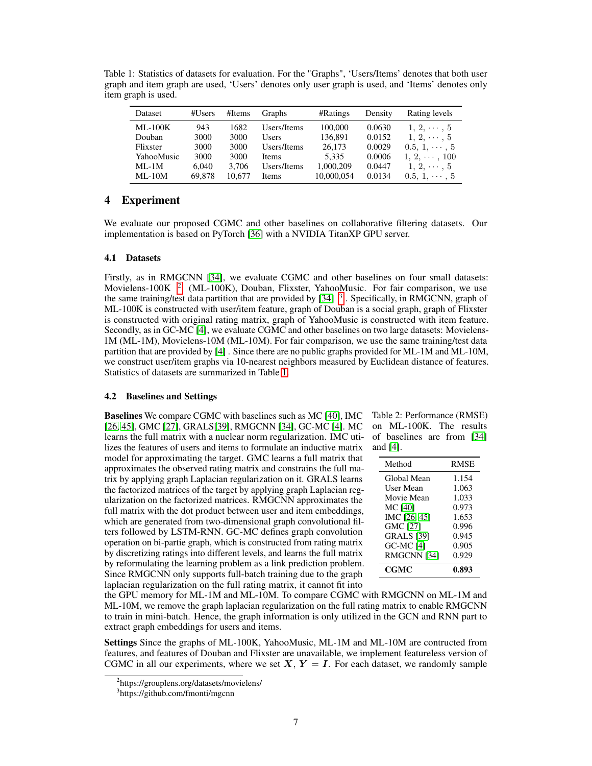<span id="page-6-3"></span>Table 1: Statistics of datasets for evaluation. For the "Graphs", 'Users/Items' denotes that both user graph and item graph are used, 'Users' denotes only user graph is used, and 'Items' denotes only item graph is used.

| Dataset        | #Users | #Items | Graphs       | #Ratings   | Density | Rating levels       |
|----------------|--------|--------|--------------|------------|---------|---------------------|
| <b>ML-100K</b> | 943    | 1682   | Users/Items  | 100,000    | 0.0630  | $1, 2, \cdots, 5$   |
| Douban         | 3000   | 3000   | <b>Users</b> | 136,891    | 0.0152  | $1, 2, \cdots, 5$   |
| Flixster       | 3000   | 3000   | Users/Items  | 26,173     | 0.0029  | $0.5, 1, \cdots, 5$ |
| YahooMusic     | 3000   | 3000   | <b>Items</b> | 5.335      | 0.0006  | $1, 2, \cdots, 100$ |
| $ML-1M$        | 6.040  | 3.706  | Users/Items  | 1,000,209  | 0.0447  | $1, 2, \cdots, 5$   |
| $ML-10M$       | 69.878 | 10.677 | Items        | 10,000,054 | 0.0134  | $0.5, 1, \cdots, 5$ |

# <span id="page-6-0"></span>4 Experiment

We evaluate our proposed CGMC and other baselines on collaborative filtering datasets. Our implementation is based on PyTorch [\[36\]](#page-10-24) with a NVIDIA TitanXP GPU server.

## 4.1 Datasets

Firstly, as in RMGCNN [\[34\]](#page-10-4), we evaluate CGMC and other baselines on four small datasets: Movielens-100K  $2$  (ML-100K), Douban, Flixster, YahooMusic. For fair comparison, we use the same training/test data partition that are provided by  $[34]$ <sup>[3](#page-6-2)</sup>. Specifically, in RMGCNN, graph of ML-100K is constructed with user/item feature, graph of Douban is a social graph, graph of Flixster is constructed with original rating matrix, graph of YahooMusic is constructed with item feature. Secondly, as in GC-MC [\[4\]](#page-9-17), we evaluate CGMC and other baselines on two large datasets: Movielens-1M (ML-1M), Movielens-10M (ML-10M). For fair comparison, we use the same training/test data partition that are provided by [\[4\]](#page-9-17) . Since there are no public graphs provided for ML-1M and ML-10M, we construct user/item graphs via 10-nearest neighbors measured by Euclidean distance of features. Statistics of datasets are summarized in Table [1.](#page-6-3)

## 4.2 Baselines and Settings

Baselines We compare CGMC with baselines such as MC [\[40\]](#page-10-2), IMC [\[26,](#page-10-5) [45\]](#page-10-6), GMC [\[27\]](#page-10-9), GRALS[\[39\]](#page-10-10), RMGCNN [\[34\]](#page-10-4), GC-MC [\[4\]](#page-9-17). MC learns the full matrix with a nuclear norm regularization. IMC utilizes the features of users and items to formulate an inductive matrix model for approximating the target. GMC learns a full matrix that approximates the observed rating matrix and constrains the full matrix by applying graph Laplacian regularization on it. GRALS learns the factorized matrices of the target by applying graph Laplacian regularization on the factorized matrices. RMGCNN approximates the full matrix with the dot product between user and item embeddings, which are generated from two-dimensional graph convolutional filters followed by LSTM-RNN. GC-MC defines graph convolution operation on bi-partie graph, which is constructed from rating matrix by discretizing ratings into different levels, and learns the full matrix by reformulating the learning problem as a link prediction problem. Since RMGCNN only supports full-batch training due to the graph laplacian regularization on the full rating matrix, it cannot fit into

<span id="page-6-4"></span>Table 2: Performance (RMSE) on ML-100K. The results of baselines are from [\[34\]](#page-10-4) and [\[4\]](#page-9-17).

| Method            | <b>RMSE</b> |
|-------------------|-------------|
| Global Mean       | 1.154       |
| User Mean         | 1.063       |
| Movie Mean        | 1.033       |
| MC [40]           | 0.973       |
| IMC [26, 45]      | 1.653       |
| <b>GMC [27]</b>   | 0.996       |
| <b>GRALS</b> [39] | 0.945       |
| <b>GC-MC [4]</b>  | 0.905       |
| RMGCNN [34]       | 0.929       |
| CGMC              | 0.893       |

the GPU memory for ML-1M and ML-10M. To compare CGMC with RMGCNN on ML-1M and ML-10M, we remove the graph laplacian regularization on the full rating matrix to enable RMGCNN to train in mini-batch. Hence, the graph information is only utilized in the GCN and RNN part to extract graph embeddings for users and items.

Settings Since the graphs of ML-100K, YahooMusic, ML-1M and ML-10M are contructed from features, and features of Douban and Flixster are unavailable, we implement featureless version of CGMC in all our experiments, where we set  $X, Y = I$ . For each dataset, we randomly sample

<span id="page-6-1"></span><sup>2</sup> https://grouplens.org/datasets/movielens/

<span id="page-6-2"></span><sup>3</sup> https://github.com/fmonti/mgcnn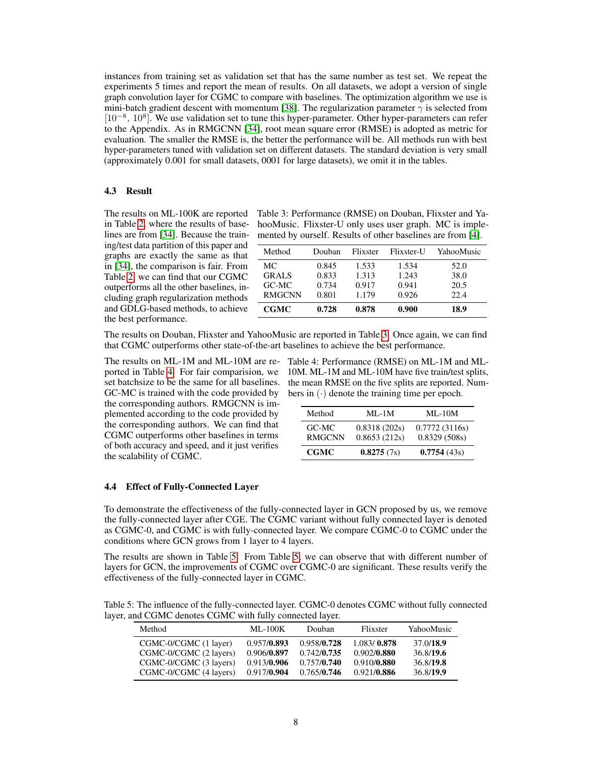instances from training set as validation set that has the same number as test set. We repeat the experiments 5 times and report the mean of results. On all datasets, we adopt a version of single graph convolution layer for CGMC to compare with baselines. The optimization algorithm we use is mini-batch gradient descent with momentum [\[38\]](#page-10-23). The regularization parameter  $\gamma$  is selected from [10<sup>-8</sup>, 10<sup>8</sup>]. We use validation set to tune this hyper-parameter. Other hyper-parameters can refer to the Appendix. As in RMGCNN [\[34\]](#page-10-4), root mean square error (RMSE) is adopted as metric for evaluation. The smaller the RMSE is, the better the performance will be. All methods run with best hyper-parameters tuned with validation set on different datasets. The standard deviation is very small (approximately 0.001 for small datasets, 0001 for large datasets), we omit it in the tables.

## 4.3 Result

The results on ML-100K are reported in Table [2,](#page-6-4) where the results of baselines are from [\[34\]](#page-10-4). Because the training/test data partition of this paper and graphs are exactly the same as that in [\[34\]](#page-10-4), the comparison is fair. From Table [2,](#page-6-4) we can find that our CGMC outperforms all the other baselines, including graph regularization methods and GDLG-based methods, to achieve the best performance.

<span id="page-7-0"></span>Table 3: Performance (RMSE) on Douban, Flixster and YahooMusic. Flixster-U only uses user graph. MC is implemented by ourself. Results of other baselines are from [\[4\]](#page-9-17).

| Method        | Douban | Flixster | Flixster-U | YahooMusic |
|---------------|--------|----------|------------|------------|
| МC            | 0.845  | 1.533    | 1.534      | 52.0       |
| <b>GRALS</b>  | 0.833  | 1.313    | 1.243      | 38.0       |
| GC-MC         | 0.734  | 0.917    | 0.941      | 20.5       |
| <b>RMGCNN</b> | 0.801  | 1.179    | 0.926      | 22.4       |
| <b>CGMC</b>   | 0.728  | 0.878    | 0.900      | 18.9       |

The results on Douban, Flixster and YahooMusic are reported in Table [3.](#page-7-0) Once again, we can find that CGMC outperforms other state-of-the-art baselines to achieve the best performance.

The results on ML-1M and ML-10M are reported in Table [4.](#page-7-1) For fair comparision, we set batchsize to be the same for all baselines. GC-MC is trained with the code provided by the corresponding authors. RMGCNN is implemented according to the code provided by the corresponding authors. We can find that CGMC outperforms other baselines in terms of both accuracy and speed, and it just verifies the scalability of CGMC.

<span id="page-7-1"></span>Table 4: Performance (RMSE) on ML-1M and ML-10M. ML-1M and ML-10M have five train/test splits, the mean RMSE on the five splits are reported. Numbers in  $(\cdot)$  denote the training time per epoch.

| Method                 | $MI - 1M$                    | $ML-10M$                      |
|------------------------|------------------------------|-------------------------------|
| GC-MC<br><b>RMGCNN</b> | 0.8318(202s)<br>0.8653(212s) | 0.7772(3116s)<br>0.8329(508s) |
| <b>CGMC</b>            | 0.8275(7s)                   | 0.7754(43s)                   |

#### 4.4 Effect of Fully-Connected Layer

To demonstrate the effectiveness of the fully-connected layer in GCN proposed by us, we remove the fully-connected layer after CGE. The CGMC variant without fully connected layer is denoted as CGMC-0, and CGMC is with fully-connected layer. We compare CGMC-0 to CGMC under the conditions where GCN grows from 1 layer to 4 layers.

The results are shown in Table [5.](#page-7-2) From Table [5,](#page-7-2) we can observe that with different number of layers for GCN, the improvements of CGMC over CGMC-0 are significant. These results verify the effectiveness of the fully-connected layer in CGMC.

<span id="page-7-2"></span>Table 5: The influence of the fully-connected layer. CGMC-0 denotes CGMC without fully connected layer, and CGMC denotes CGMC with fully connected layer.

| Method                 | $ML-100K$   | Douban      | Flixster    | YahooMusic |
|------------------------|-------------|-------------|-------------|------------|
| CGMC-0/CGMC (1 layer)  | 0.957/0.893 | 0.958/0.728 | 1.083/0.878 | 37.0/18.9  |
| CGMC-0/CGMC (2 layers) | 0.906/0.897 | 0.742/0.735 | 0.902/0.880 | 36.8/19.6  |
| CGMC-0/CGMC (3 layers) | 0.913/0.906 | 0.757/0.740 | 0.910/0.880 | 36.8/19.8  |
| CGMC-0/CGMC (4 layers) | 0.917/0.904 | 0.765/0.746 | 0.921/0.886 | 36.8/19.9  |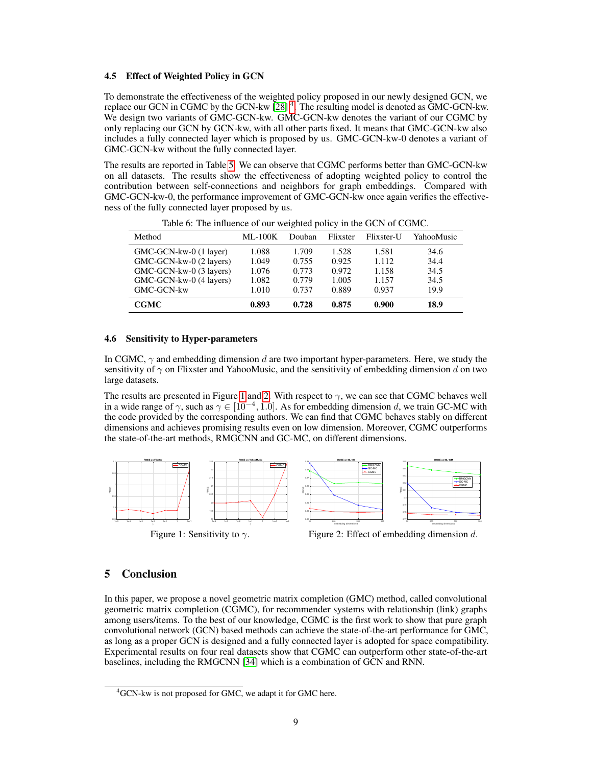#### 4.5 Effect of Weighted Policy in GCN

To demonstrate the effectiveness of the weighted policy proposed in our newly designed GCN, we replace our GCN in CGMC by the GCN-kw [\[28\]](#page-10-22) [4](#page-8-1) . The resulting model is denoted as GMC-GCN-kw. We design two variants of GMC-GCN-kw. GMC-GCN-kw denotes the variant of our CGMC by only replacing our GCN by GCN-kw, with all other parts fixed. It means that GMC-GCN-kw also includes a fully connected layer which is proposed by us. GMC-GCN-kw-0 denotes a variant of GMC-GCN-kw without the fully connected layer.

The results are reported in Table [5.](#page-7-2) We can observe that CGMC performs better than GMC-GCN-kw on all datasets. The results show the effectiveness of adopting weighted policy to control the contribution between self-connections and neighbors for graph embeddings. Compared with GMC-GCN-kw-0, the performance improvement of GMC-GCN-kw once again verifies the effectiveness of the fully connected layer proposed by us.

| Method                  | $ML-100K$ | Douban | Flixster | Flixster-U | YahooMusic |
|-------------------------|-----------|--------|----------|------------|------------|
| GMC-GCN-kw-0 (1 layer)  | 1.088     | 1.709  | 1.528    | 1.581      | 34.6       |
| GMC-GCN-kw-0 (2 layers) | 1.049     | 0.755  | 0.925    | 1.112      | 34.4       |
| GMC-GCN-kw-0 (3 layers) | 1.076     | 0.773  | 0.972    | 1.158      | 34.5       |
| GMC-GCN-kw-0 (4 layers) | 1.082     | 0.779  | 1.005    | 1.157      | 34.5       |
| GMC-GCN-kw              | 1.010     | 0.737  | 0.889    | 0.937      | 19.9       |
| <b>CGMC</b>             | 0.893     | 0.728  | 0.875    | 0.900      | 18.9       |

Table 6: The influence of our weighted policy in the GCN of CGMC.

#### 4.6 Sensitivity to Hyper-parameters

In CGMC,  $\gamma$  and embedding dimension d are two important hyper-parameters. Here, we study the sensitivity of  $\gamma$  on Flixster and YahooMusic, and the sensitivity of embedding dimension d on two large datasets.

The results are presented in Figure [1](#page-8-2) and [2.](#page-8-2) With respect to  $\gamma$ , we can see that CGMC behaves well in a wide range of  $\gamma$ , such as  $\gamma \in [10^{-4}, 1.0]$ . As for embedding dimension d, we train GC-MC with the code provided by the corresponding authors. We can find that CGMC behaves stably on different dimensions and achieves promising results even on low dimension. Moreover, CGMC outperforms the state-of-the-art methods, RMGCNN and GC-MC, on different dimensions.

<span id="page-8-2"></span>

Figure 1: Sensitivity to  $\gamma$ .

Figure 2: Effect of embedding dimension d.

## <span id="page-8-0"></span>5 Conclusion

In this paper, we propose a novel geometric matrix completion (GMC) method, called convolutional geometric matrix completion (CGMC), for recommender systems with relationship (link) graphs among users/items. To the best of our knowledge, CGMC is the first work to show that pure graph convolutional network (GCN) based methods can achieve the state-of-the-art performance for GMC, as long as a proper GCN is designed and a fully connected layer is adopted for space compatibility. Experimental results on four real datasets show that CGMC can outperform other state-of-the-art baselines, including the RMGCNN [\[34\]](#page-10-4) which is a combination of GCN and RNN.

<span id="page-8-1"></span><sup>&</sup>lt;sup>4</sup>GCN-kw is not proposed for GMC, we adapt it for GMC here.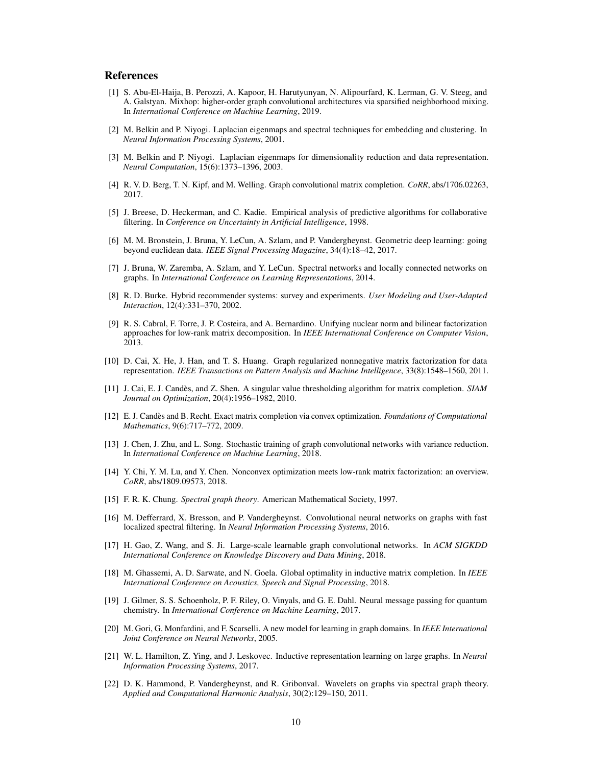## References

- <span id="page-9-16"></span>[1] S. Abu-El-Haija, B. Perozzi, A. Kapoor, H. Harutyunyan, N. Alipourfard, K. Lerman, G. V. Steeg, and A. Galstyan. Mixhop: higher-order graph convolutional architectures via sparsified neighborhood mixing. In *International Conference on Machine Learning*, 2019.
- <span id="page-9-7"></span>[2] M. Belkin and P. Niyogi. Laplacian eigenmaps and spectral techniques for embedding and clustering. In *Neural Information Processing Systems*, 2001.
- <span id="page-9-8"></span>[3] M. Belkin and P. Niyogi. Laplacian eigenmaps for dimensionality reduction and data representation. *Neural Computation*, 15(6):1373–1396, 2003.
- <span id="page-9-17"></span>[4] R. V. D. Berg, T. N. Kipf, and M. Welling. Graph convolutional matrix completion. *CoRR*, abs/1706.02263, 2017.
- <span id="page-9-0"></span>[5] J. Breese, D. Heckerman, and C. Kadie. Empirical analysis of predictive algorithms for collaborative filtering. In *Conference on Uncertainty in Artificial Intelligence*, 1998.
- <span id="page-9-14"></span>[6] M. M. Bronstein, J. Bruna, Y. LeCun, A. Szlam, and P. Vandergheynst. Geometric deep learning: going beyond euclidean data. *IEEE Signal Processing Magazine*, 34(4):18–42, 2017.
- <span id="page-9-10"></span>[7] J. Bruna, W. Zaremba, A. Szlam, and Y. LeCun. Spectral networks and locally connected networks on graphs. In *International Conference on Learning Representations*, 2014.
- <span id="page-9-1"></span>[8] R. D. Burke. Hybrid recommender systems: survey and experiments. *User Modeling and User-Adapted Interaction*, 12(4):331–370, 2002.
- <span id="page-9-3"></span>[9] R. S. Cabral, F. Torre, J. P. Costeira, and A. Bernardino. Unifying nuclear norm and bilinear factorization approaches for low-rank matrix decomposition. In *IEEE International Conference on Computer Vision*, 2013.
- <span id="page-9-6"></span>[10] D. Cai, X. He, J. Han, and T. S. Huang. Graph regularized nonnegative matrix factorization for data representation. *IEEE Transactions on Pattern Analysis and Machine Intelligence*, 33(8):1548–1560, 2011.
- <span id="page-9-18"></span>[11] J. Cai, E. J. Candès, and Z. Shen. A singular value thresholding algorithm for matrix completion. *SIAM Journal on Optimization*, 20(4):1956–1982, 2010.
- <span id="page-9-2"></span>[12] E. J. Candès and B. Recht. Exact matrix completion via convex optimization. *Foundations of Computational Mathematics*, 9(6):717–772, 2009.
- <span id="page-9-15"></span>[13] J. Chen, J. Zhu, and L. Song. Stochastic training of graph convolutional networks with variance reduction. In *International Conference on Machine Learning*, 2018.
- <span id="page-9-4"></span>[14] Y. Chi, Y. M. Lu, and Y. Chen. Nonconvex optimization meets low-rank matrix factorization: an overview. *CoRR*, abs/1809.09573, 2018.
- <span id="page-9-21"></span>[15] F. R. K. Chung. *Spectral graph theory*. American Mathematical Society, 1997.
- <span id="page-9-11"></span>[16] M. Defferrard, X. Bresson, and P. Vandergheynst. Convolutional neural networks on graphs with fast localized spectral filtering. In *Neural Information Processing Systems*, 2016.
- <span id="page-9-19"></span>[17] H. Gao, Z. Wang, and S. Ji. Large-scale learnable graph convolutional networks. In *ACM SIGKDD International Conference on Knowledge Discovery and Data Mining*, 2018.
- <span id="page-9-5"></span>[18] M. Ghassemi, A. D. Sarwate, and N. Goela. Global optimality in inductive matrix completion. In *IEEE International Conference on Acoustics, Speech and Signal Processing*, 2018.
- <span id="page-9-12"></span>[19] J. Gilmer, S. S. Schoenholz, P. F. Riley, O. Vinyals, and G. E. Dahl. Neural message passing for quantum chemistry. In *International Conference on Machine Learning*, 2017.
- <span id="page-9-9"></span>[20] M. Gori, G. Monfardini, and F. Scarselli. A new model for learning in graph domains. In *IEEE International Joint Conference on Neural Networks*, 2005.
- <span id="page-9-13"></span>[21] W. L. Hamilton, Z. Ying, and J. Leskovec. Inductive representation learning on large graphs. In *Neural Information Processing Systems*, 2017.
- <span id="page-9-20"></span>[22] D. K. Hammond, P. Vandergheynst, and R. Gribonval. Wavelets on graphs via spectral graph theory. *Applied and Computational Harmonic Analysis*, 30(2):129–150, 2011.